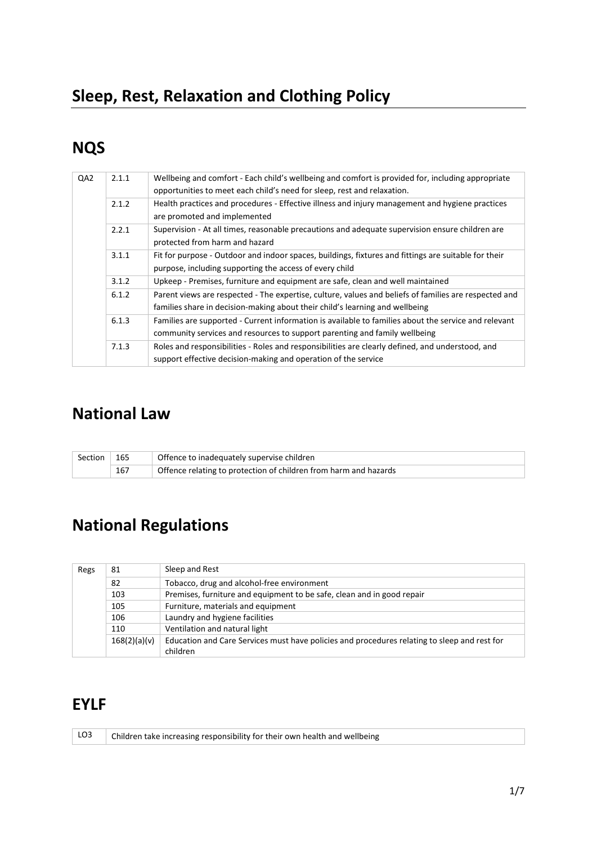## **Sleep, Rest, Relaxation and Clothing Policy**

## **NQS**

| QA2 | 2.1.1 | Wellbeing and comfort - Each child's wellbeing and comfort is provided for, including appropriate<br>opportunities to meet each child's need for sleep, rest and relaxation.          |
|-----|-------|---------------------------------------------------------------------------------------------------------------------------------------------------------------------------------------|
|     | 2.1.2 | Health practices and procedures - Effective illness and injury management and hygiene practices<br>are promoted and implemented                                                       |
|     | 2.2.1 | Supervision - At all times, reasonable precautions and adequate supervision ensure children are<br>protected from harm and hazard                                                     |
|     | 3.1.1 | Fit for purpose - Outdoor and indoor spaces, buildings, fixtures and fittings are suitable for their<br>purpose, including supporting the access of every child                       |
|     | 3.1.2 | Upkeep - Premises, furniture and equipment are safe, clean and well maintained                                                                                                        |
|     | 6.1.2 | Parent views are respected - The expertise, culture, values and beliefs of families are respected and<br>families share in decision-making about their child's learning and wellbeing |
|     | 6.1.3 | Families are supported - Current information is available to families about the service and relevant<br>community services and resources to support parenting and family wellbeing    |
|     | 7.1.3 | Roles and responsibilities - Roles and responsibilities are clearly defined, and understood, and<br>support effective decision-making and operation of the service                    |

## **National Law**

| Section | 165 | Offence to inadequately supervise children                       |
|---------|-----|------------------------------------------------------------------|
|         | 167 | Offence relating to protection of children from harm and hazards |

# **National Regulations**

| Regs                                      | 81 | Sleep and Rest                                                                               |  |
|-------------------------------------------|----|----------------------------------------------------------------------------------------------|--|
|                                           | 82 | Tobacco, drug and alcohol-free environment                                                   |  |
| 103                                       |    | Premises, furniture and equipment to be safe, clean and in good repair                       |  |
| 105<br>Furniture, materials and equipment |    |                                                                                              |  |
| Laundry and hygiene facilities<br>106     |    |                                                                                              |  |
| 110                                       |    | Ventilation and natural light                                                                |  |
| 168(2)(a)(v)                              |    | Education and Care Services must have policies and procedures relating to sleep and rest for |  |
|                                           |    | children                                                                                     |  |

## **EYLF**

|  | $\vert$ LO3 $\vert$ Children take increasing responsibility for their own health and wellbeing |
|--|------------------------------------------------------------------------------------------------|
|  |                                                                                                |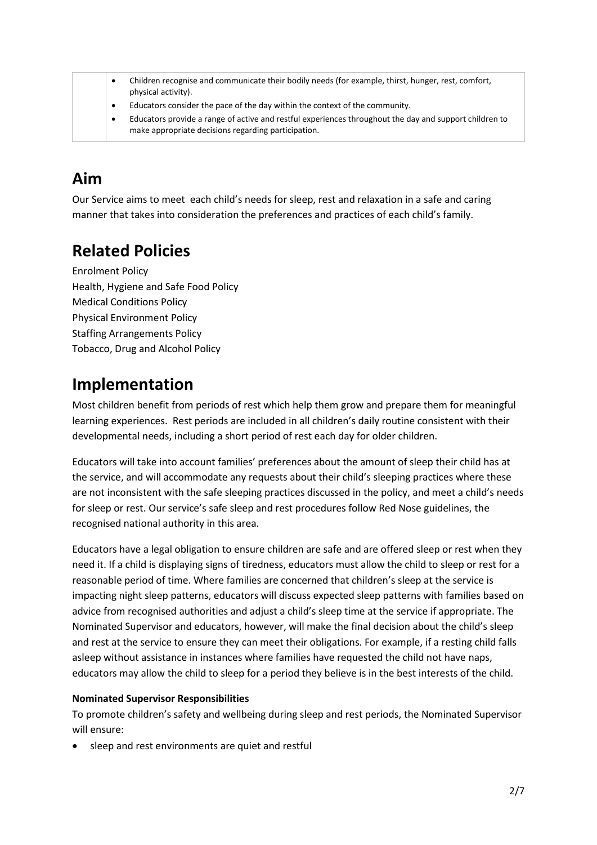|  | Children recognise and communicate their bodily needs (for example, thirst, hunger, rest, comfort,<br>physical activity).                                     |
|--|---------------------------------------------------------------------------------------------------------------------------------------------------------------|
|  | Educators consider the pace of the day within the context of the community.                                                                                   |
|  | Educators provide a range of active and restful experiences throughout the day and support children to<br>make appropriate decisions regarding participation. |

## **Aim**

Our Service aims to meet each child's needs for sleep, rest and relaxation in a safe and caring manner that takes into consideration the preferences and practices of each child's family.

## **Related Policies**

Enrolment Policy Health, Hygiene and Safe Food Policy Medical Conditions Policy Physical Environment Policy Staffing Arrangements Policy Tobacco, Drug and Alcohol Policy

### **Implementation**

Most children benefit from periods of rest which help them grow and prepare them for meaningful learning experiences. Rest periods are included in all children's daily routine consistent with their developmental needs, including a short period of rest each day for older children.

Educators will take into account families' preferences about the amount of sleep their child has at the service, and will accommodate any requests about their child's sleeping practices where these are not inconsistent with the safe sleeping practices discussed in the policy, and meet a child's needs for sleep or rest. Our service's safe sleep and rest procedures follow Red Nose guidelines, the recognised national authority in this area.

Educators have a legal obligation to ensure children are safe and are offered sleep or rest when they need it. If a child is displaying signs of tiredness, educators must allow the child to sleep or rest for a reasonable period of time. Where families are concerned that children's sleep at the service is impacting night sleep patterns, educators will discuss expected sleep patterns with families based on advice from recognised authorities and adjust a child's sleep time at the service if appropriate. The Nominated Supervisor and educators, however, will make the final decision about the child's sleep and rest at the service to ensure they can meet their obligations. For example, if a resting child falls asleep without assistance in instances where families have requested the child not have naps, educators may allow the child to sleep for a period they believe is in the best interests of the child.

#### **Nominated Supervisor Responsibilities**

To promote children's safety and wellbeing during sleep and rest periods, the Nominated Supervisor will ensure:

sleep and rest environments are quiet and restful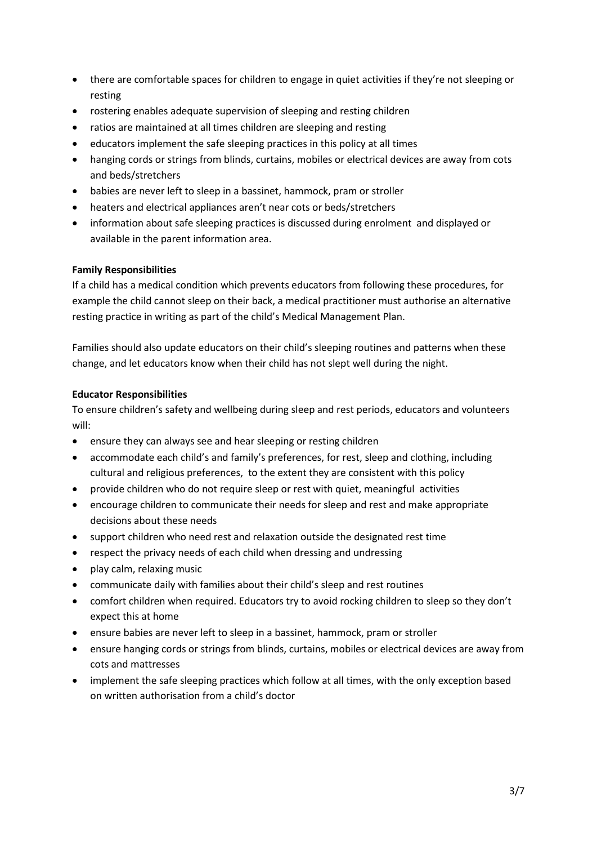- there are comfortable spaces for children to engage in quiet activities if they're not sleeping or resting
- rostering enables adequate supervision of sleeping and resting children
- ratios are maintained at all times children are sleeping and resting
- educators implement the safe sleeping practices in this policy at all times
- hanging cords or strings from blinds, curtains, mobiles or electrical devices are away from cots and beds/stretchers
- babies are never left to sleep in a bassinet, hammock, pram or stroller
- heaters and electrical appliances aren't near cots or beds/stretchers
- information about safe sleeping practices is discussed during enrolment and displayed or available in the parent information area.

#### **Family Responsibilities**

If a child has a medical condition which prevents educators from following these procedures, for example the child cannot sleep on their back, a medical practitioner must authorise an alternative resting practice in writing as part of the child's Medical Management Plan.

Families should also update educators on their child's sleeping routines and patterns when these change, and let educators know when their child has not slept well during the night.

#### **Educator Responsibilities**

To ensure children's safety and wellbeing during sleep and rest periods, educators and volunteers will:

- ensure they can always see and hear sleeping or resting children
- accommodate each child's and family's preferences, for rest, sleep and clothing, including cultural and religious preferences, to the extent they are consistent with this policy
- provide children who do not require sleep or rest with quiet, meaningful activities
- encourage children to communicate their needs for sleep and rest and make appropriate decisions about these needs
- support children who need rest and relaxation outside the designated rest time
- respect the privacy needs of each child when dressing and undressing
- play calm, relaxing music
- communicate daily with families about their child's sleep and rest routines
- comfort children when required. Educators try to avoid rocking children to sleep so they don't expect this at home
- ensure babies are never left to sleep in a bassinet, hammock, pram or stroller
- ensure hanging cords or strings from blinds, curtains, mobiles or electrical devices are away from cots and mattresses
- implement the safe sleeping practices which follow at all times, with the only exception based on written authorisation from a child's doctor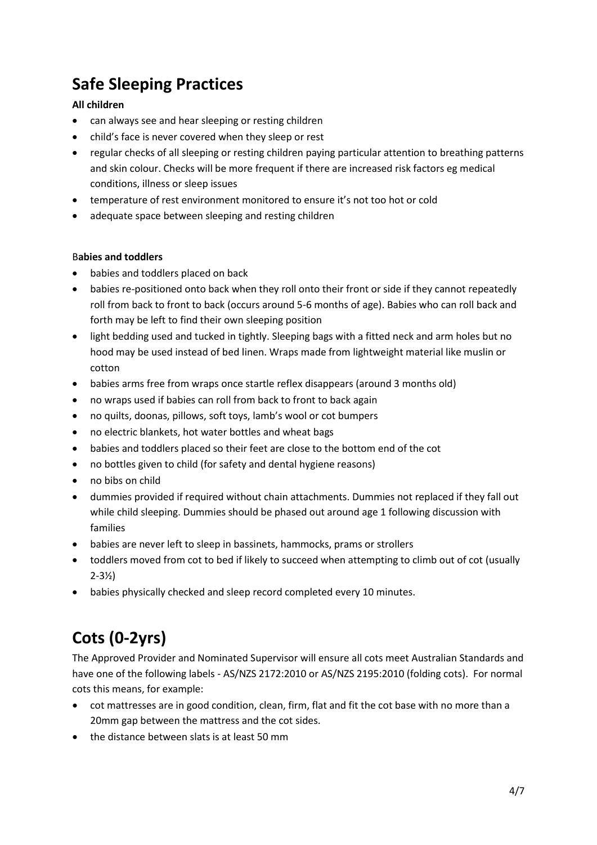## **Safe Sleeping Practices**

#### **All children**

- can always see and hear sleeping or resting children
- child's face is never covered when they sleep or rest
- regular checks of all sleeping or resting children paying particular attention to breathing patterns and skin colour. Checks will be more frequent if there are increased risk factors eg medical conditions, illness or sleep issues
- temperature of rest environment monitored to ensure it's not too hot or cold
- adequate space between sleeping and resting children

#### B**abies and toddlers**

- babies and toddlers placed on back
- babies re-positioned onto back when they roll onto their front or side if they cannot repeatedly roll from back to front to back (occurs around 5-6 months of age). Babies who can roll back and forth may be left to find their own sleeping position
- light bedding used and tucked in tightly. Sleeping bags with a fitted neck and arm holes but no hood may be used instead of bed linen. Wraps made from lightweight material like muslin or cotton
- babies arms free from wraps once startle reflex disappears (around 3 months old)
- no wraps used if babies can roll from back to front to back again
- no quilts, doonas, pillows, soft toys, lamb's wool or cot bumpers
- no electric blankets, hot water bottles and wheat bags
- babies and toddlers placed so their feet are close to the bottom end of the cot
- no bottles given to child (for safety and dental hygiene reasons)
- no bibs on child
- dummies provided if required without chain attachments. Dummies not replaced if they fall out while child sleeping. Dummies should be phased out around age 1 following discussion with families
- babies are never left to sleep in bassinets, hammocks, prams or strollers
- toddlers moved from cot to bed if likely to succeed when attempting to climb out of cot (usually 2-3½)
- babies physically checked and sleep record completed every 10 minutes.

# **Cots (0-2yrs)**

The Approved Provider and Nominated Supervisor will ensure all cots meet Australian Standards and have one of the following labels - AS/NZS 2172:2010 or AS/NZS 2195:2010 (folding cots). For normal cots this means, for example:

- cot mattresses are in good condition, clean, firm, flat and fit the cot base with no more than a 20mm gap between the mattress and the cot sides.
- the distance between slats is at least 50 mm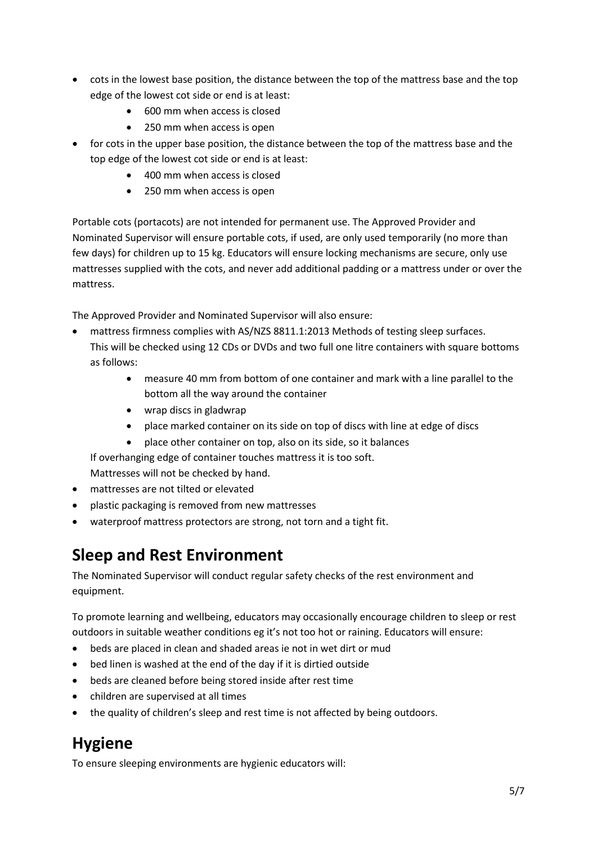- cots in the lowest base position, the distance between the top of the mattress base and the top edge of the lowest cot side or end is at least:
	- 600 mm when access is closed
	- 250 mm when access is open
- for cots in the upper base position, the distance between the top of the mattress base and the top edge of the lowest cot side or end is at least:
	- 400 mm when access is closed
	- 250 mm when access is open

Portable cots (portacots) are not intended for permanent use. The Approved Provider and Nominated Supervisor will ensure portable cots, if used, are only used temporarily (no more than few days) for children up to 15 kg. Educators will ensure locking mechanisms are secure, only use mattresses supplied with the cots, and never add additional padding or a mattress under or over the mattress.

The Approved Provider and Nominated Supervisor will also ensure:

- mattress firmness complies with AS/NZS 8811.1:2013 Methods of testing sleep surfaces. This will be checked using 12 CDs or DVDs and two full one litre containers with square bottoms as follows:
	- measure 40 mm from bottom of one container and mark with a line parallel to the bottom all the way around the container
	- wrap discs in gladwrap
	- place marked container on its side on top of discs with line at edge of discs
	- place other container on top, also on its side, so it balances

If overhanging edge of container touches mattress it is too soft. Mattresses will not be checked by hand.

- mattresses are not tilted or elevated
- plastic packaging is removed from new mattresses
- waterproof mattress protectors are strong, not torn and a tight fit.

#### **Sleep and Rest Environment**

The Nominated Supervisor will conduct regular safety checks of the rest environment and equipment.

To promote learning and wellbeing, educators may occasionally encourage children to sleep or rest outdoors in suitable weather conditions eg it's not too hot or raining. Educators will ensure:

- beds are placed in clean and shaded areas ie not in wet dirt or mud
- bed linen is washed at the end of the day if it is dirtied outside
- beds are cleaned before being stored inside after rest time
- children are supervised at all times
- the quality of children's sleep and rest time is not affected by being outdoors.

## **Hygiene**

To ensure sleeping environments are hygienic educators will: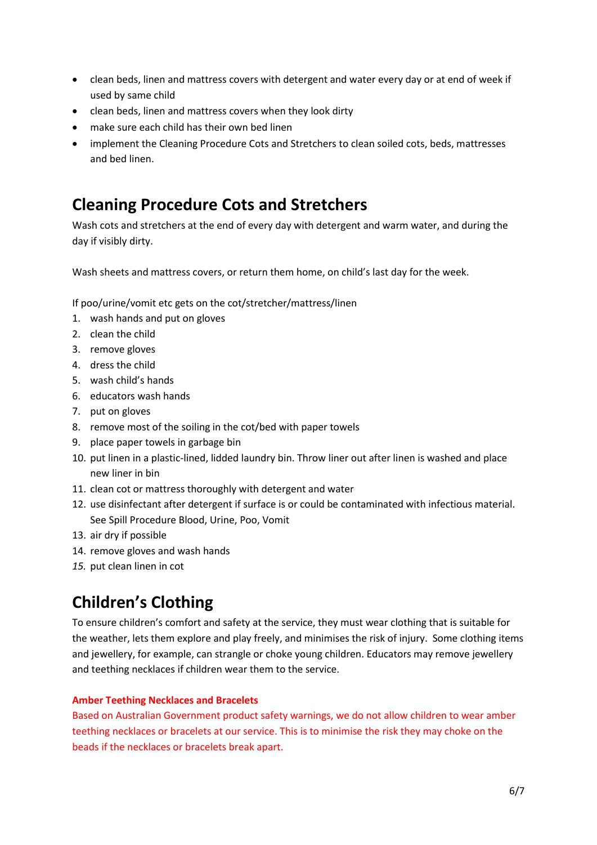- clean beds, linen and mattress covers with detergent and water every day or at end of week if used by same child
- clean beds, linen and mattress covers when they look dirty
- make sure each child has their own bed linen
- implement the Cleaning Procedure Cots and Stretchers to clean soiled cots, beds, mattresses and bed linen.

#### **Cleaning Procedure Cots and Stretchers**

Wash cots and stretchers at the end of every day with detergent and warm water, and during the day if visibly dirty.

Wash sheets and mattress covers, or return them home, on child's last day for the week.

If poo/urine/vomit etc gets on the cot/stretcher/mattress/linen

- 1. wash hands and put on gloves
- 2. clean the child
- 3. remove gloves
- 4. dress the child
- 5. wash child's hands
- 6. educators wash hands
- 7. put on gloves
- 8. remove most of the soiling in the cot/bed with paper towels
- 9. place paper towels in garbage bin
- 10. put linen in a plastic-lined, lidded laundry bin. Throw liner out after linen is washed and place new liner in bin
- 11. clean cot or mattress thoroughly with detergent and water
- 12. use disinfectant after detergent if surface is or could be contaminated with infectious material. See Spill Procedure Blood, Urine, Poo, Vomit
- 13. air dry if possible
- 14. remove gloves and wash hands
- *15.* put clean linen in cot

### **Children's Clothing**

To ensure children's comfort and safety at the service, they must wear clothing that is suitable for the weather, lets them explore and play freely, and minimises the risk of injury. Some clothing items and jewellery, for example, can strangle or choke young children. Educators may remove jewellery and teething necklaces if children wear them to the service.

#### **Amber Teething Necklaces and Bracelets**

Based on Australian Government product safety warnings, we do not allow children to wear amber teething necklaces or bracelets at our service. This is to minimise the risk they may choke on the beads if the necklaces or bracelets break apart.